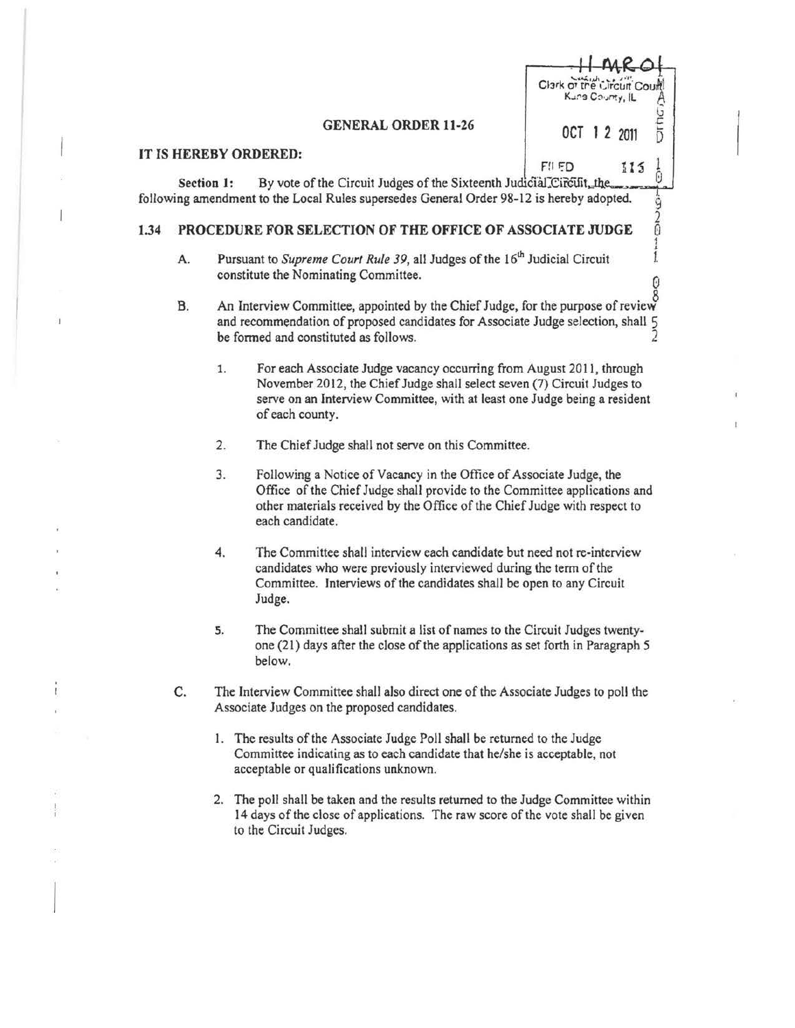## GENERAL ORDER 11-26 0CT 1 2 2011

Clark of the Circuit Court

Kung Courty, IL

FII FD

**Dring** 

Ō

 $115$ 

**2200** 

1

## IT IS HEREBY ORDERED:

Section 1: By vote of the Circuit Judges of the Sixteenth Judicial Circuit, the following amendment to the Local Rules supersedes General Order 98-12 is hereby adopted.

## 1.34 PROCEDURE FOR SELECTION OF THE OFFICE OF ASSOCIATE JUDGE

- A. Pursuant to *Supreme Court Rule 39*, all Judges of the 16<sup>th</sup> Judicial Circuit constitute the Nominating Committee.
- B. An Interview Committee, appointed by the Chief Judge, for the purpose of review and recommendation of proposed candidates for Associate Judge selection, shall 5 be formed and constituted as follows. 2
	- 1. For each Associate Judge vacancy occurring from August 2011, through November 2012, the Chief Judge shall select seven (7) Circuit Judges to serve on an Interview Committee, with at least one Judge being a resident of each county.
	- 2. The Chief Judge shall not serve on this Committee.
	- 3. Following a Notice of Vacancy in the Office of Associate Judge, the Office of the Chief Judge shall provide to the Committee applications and other materials received by the Office of the Chief Judge with respect to each candidate.
	- 4. The Committee shall interview each candidate but need not re-interview candidates who were previously interviewed during the term of the Committee. Interviews of the candidates shall be open to any Circuit Judge.
	- 5. The Committee shall submit a list of names to the Circuit Judges twentyone (21) days after the close of the applications as set forth in Paragraph *5*  below.
- C. The Interview Committee shall also direct one of the Associate Judges to poll the Associate Judges on the proposed candidates.
	- l. The results of the Associate Judge Poll shall be returned to the Judge Committee indicating as to each candidate that he/she is acceptable, not acceptable or qualifications unknown.
	- 2. The poll shall be taken and the results returned to the Judge Committee within 14 days of the close of applications. The raw score of the vote shall be given to the Circuit Judges.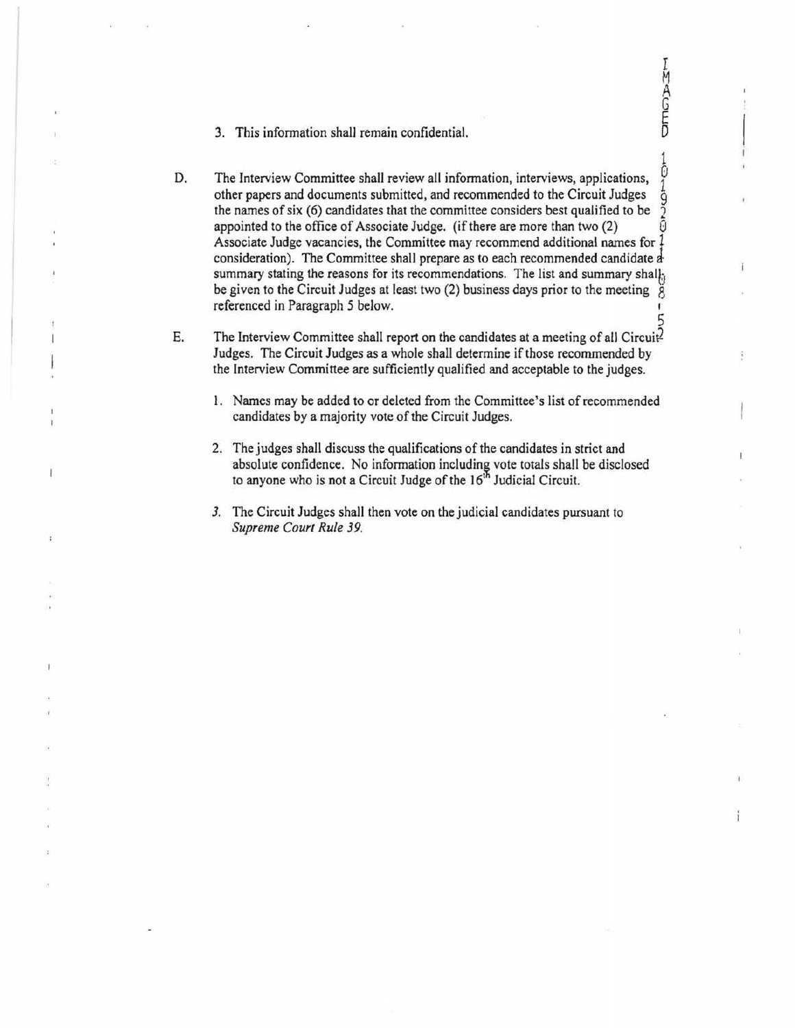- 3. This information shall remain confidential.
- D. The Interview Committee shall review all information, interviews, applications, The interview Committee shall review all information, interviews, applications,  $\frac{1}{2}$  other papers and documents submitted, and recommended to the Circuit Judges  $\frac{1}{9}$  the names of six (6) candidates that the comm the names of six (6) candidates that the committee considers best qualified to be 2 appointed to the office of Associate Judge. (if there are more than two (2) Associate Judge vacancies, the Committee may recommend additional names for  $\frac{1}{2}$ consideration). The Committee shall prepare as to each recommended candidate a summary stating the reasons for its recommendations. The list and summary shall, be given to the Circuit Judges at least two (2) business days prior to the meeting  $\S$ referenced in Paragraph *5* below. 5

I M A G E

 $\frac{1}{2}$ 

ĭ

- E. The Interview Committee shall report on the candidates at a meeting of all Circuit Judges. The Circuit Judges as a whole shall determine if those recommended by the Interview Committee are sufficiently qualified and acceptable to the judges.
	- 1. Names may be added to or deleted from the Committee's list of recommended candidates by a majority vote of the Circuit Judges.
	- 2. The judges shall discuss the qualifications of the candidates in strict and absolute confidence. No information including vote totals shall be disclosed to anyone who is not a Circuit Judge of the  $16<sup>th</sup>$  Judicial Circuit.
	- *3.* The Circuit Judges shall then vote on the judicial candidates pursuant to *Supreme Court Rule 39.*